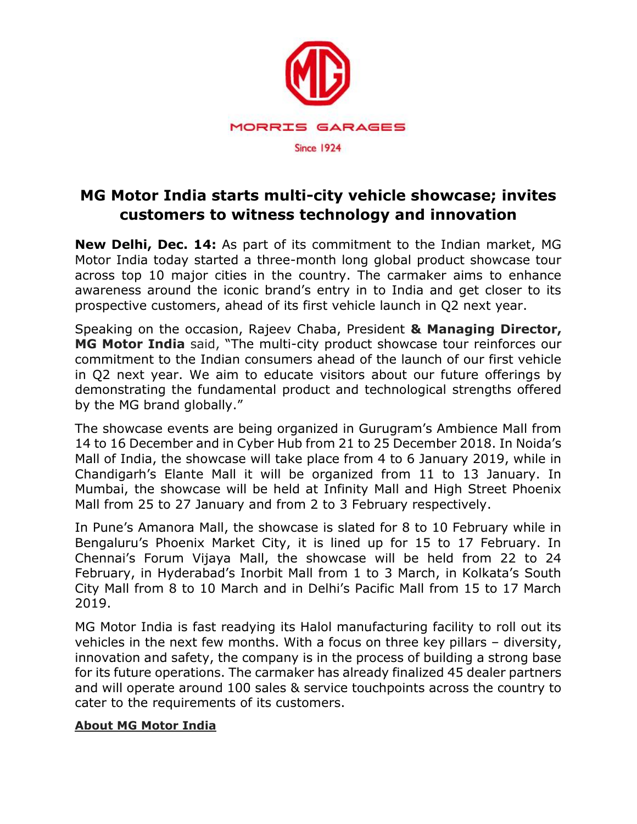

## **MG Motor India starts multi-city vehicle showcase; invites customers to witness technology and innovation**

**New Delhi, Dec. 14:** As part of its commitment to the Indian market, MG Motor India today started a three-month long global product showcase tour across top 10 major cities in the country. The carmaker aims to enhance awareness around the iconic brand's entry in to India and get closer to its prospective customers, ahead of its first vehicle launch in Q2 next year.

Speaking on the occasion, Rajeev Chaba, President **& Managing Director, MG Motor India** said, "The multi-city product showcase tour reinforces our commitment to the Indian consumers ahead of the launch of our first vehicle in Q2 next year. We aim to educate visitors about our future offerings by demonstrating the fundamental product and technological strengths offered by the MG brand globally."

The showcase events are being organized in Gurugram's Ambience Mall from 14 to 16 December and in Cyber Hub from 21 to 25 December 2018. In Noida's Mall of India, the showcase will take place from 4 to 6 January 2019, while in Chandigarh's Elante Mall it will be organized from 11 to 13 January. In Mumbai, the showcase will be held at Infinity Mall and High Street Phoenix Mall from 25 to 27 January and from 2 to 3 February respectively.

In Pune's Amanora Mall, the showcase is slated for 8 to 10 February while in Bengaluru's Phoenix Market City, it is lined up for 15 to 17 February. In Chennai's Forum Vijaya Mall, the showcase will be held from 22 to 24 February, in Hyderabad's Inorbit Mall from 1 to 3 March, in Kolkata's South City Mall from 8 to 10 March and in Delhi's Pacific Mall from 15 to 17 March 2019.

MG Motor India is fast readying its Halol manufacturing facility to roll out its vehicles in the next few months. With a focus on three key pillars – diversity, innovation and safety, the company is in the process of building a strong base for its future operations. The carmaker has already finalized 45 dealer partners and will operate around 100 sales & service touchpoints across the country to cater to the requirements of its customers.

## **About MG Motor India**